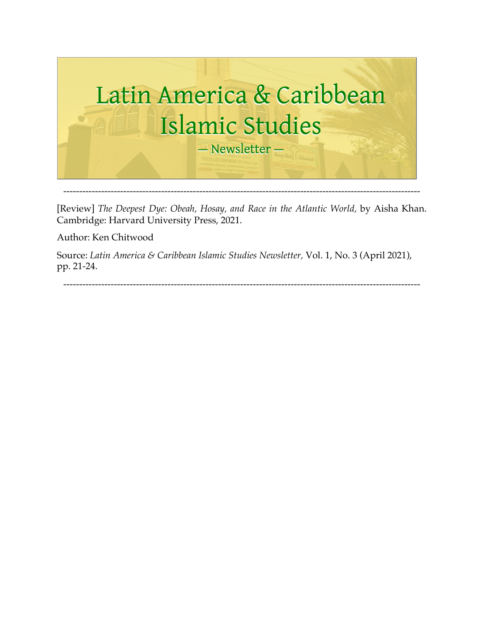

[Review] *The Deepest Dye: Obeah, Hosay, and Race in the Atlantic World, by Aisha Khan.* Cambridge: Harvard University Press, 2021.

Author: Ken Chitwood

Source: *Latin America & Caribbean Islamic Studies Newsletter,* Vol. 1, No. 3 (April 2021), pp. 21-24.

-----------------------------------------------------------------------------------------------------------------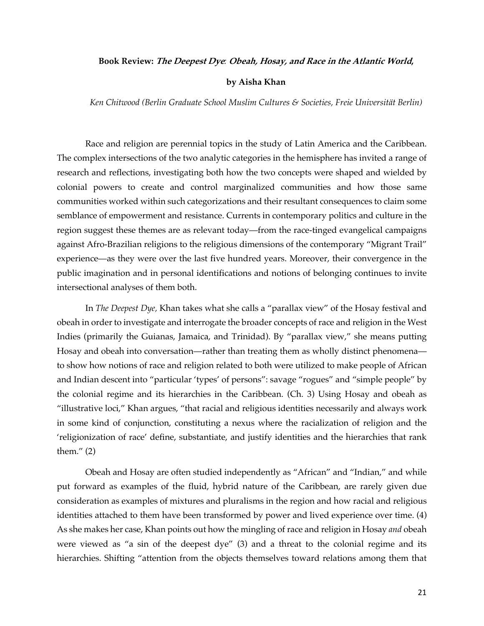## **Book Review: The Deepest Dye***:* **Obeah, Hosay, and Race in the Atlantic World,**

## **by Aisha Khan**

*Ken Chitwood (Berlin Graduate School Muslim Cultures & Societies, Freie Universität Berlin)*

Race and religion are perennial topics in the study of Latin America and the Caribbean. The complex intersections of the two analytic categories in the hemisphere has invited a range of research and reflections, investigating both how the two concepts were shaped and wielded by colonial powers to create and control marginalized communities and how those same communities worked within such categorizations and their resultant consequences to claim some semblance of empowerment and resistance. Currents in contemporary politics and culture in the region suggest these themes are as relevant today—from the race-tinged evangelical campaigns against Afro-Brazilian religions to the religious dimensions of the contemporary "Migrant Trail" experience—as they were over the last five hundred years. Moreover, their convergence in the public imagination and in personal identifications and notions of belonging continues to invite intersectional analyses of them both.

In *The Deepest Dye,* Khan takes what she calls a "parallax view" of the Hosay festival and obeah in order to investigate and interrogate the broader concepts of race and religion in the West Indies (primarily the Guianas, Jamaica, and Trinidad). By "parallax view," she means putting Hosay and obeah into conversation—rather than treating them as wholly distinct phenomena to show how notions of race and religion related to both were utilized to make people of African and Indian descent into "particular 'types' of persons": savage "rogues" and "simple people" by the colonial regime and its hierarchies in the Caribbean. (Ch. 3) Using Hosay and obeah as "illustrative loci," Khan argues, "that racial and religious identities necessarily and always work in some kind of conjunction, constituting a nexus where the racialization of religion and the 'religionization of race' define, substantiate, and justify identities and the hierarchies that rank them." (2)

Obeah and Hosay are often studied independently as "African" and "Indian," and while put forward as examples of the fluid, hybrid nature of the Caribbean, are rarely given due consideration as examples of mixtures and pluralisms in the region and how racial and religious identities attached to them have been transformed by power and lived experience over time. (4) As she makes her case, Khan points out how the mingling of race and religion in Hosay *and* obeah were viewed as "a sin of the deepest dye" (3) and a threat to the colonial regime and its hierarchies. Shifting "attention from the objects themselves toward relations among them that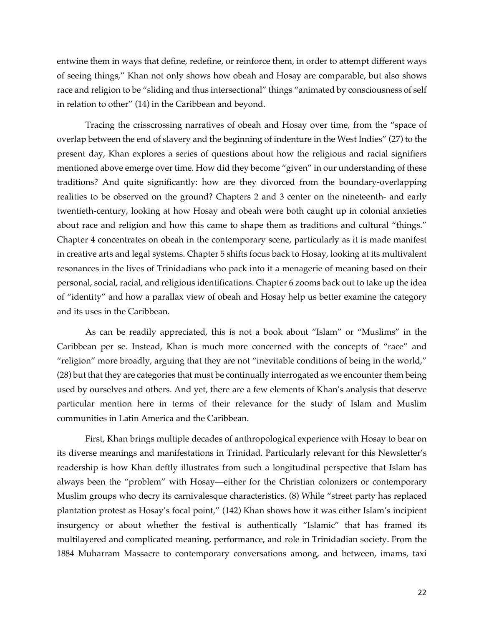entwine them in ways that define, redefine, or reinforce them, in order to attempt different ways of seeing things," Khan not only shows how obeah and Hosay are comparable, but also shows race and religion to be "sliding and thus intersectional" things "animated by consciousness of self in relation to other" (14) in the Caribbean and beyond.

Tracing the crisscrossing narratives of obeah and Hosay over time, from the "space of overlap between the end of slavery and the beginning of indenture in the West Indies" (27) to the present day, Khan explores a series of questions about how the religious and racial signifiers mentioned above emerge over time. How did they become "given" in our understanding of these traditions? And quite significantly: how are they divorced from the boundary-overlapping realities to be observed on the ground? Chapters 2 and 3 center on the nineteenth- and early twentieth-century, looking at how Hosay and obeah were both caught up in colonial anxieties about race and religion and how this came to shape them as traditions and cultural "things." Chapter 4 concentrates on obeah in the contemporary scene, particularly as it is made manifest in creative arts and legal systems. Chapter 5 shifts focus back to Hosay, looking at its multivalent resonances in the lives of Trinidadians who pack into it a menagerie of meaning based on their personal, social, racial, and religious identifications. Chapter 6 zooms back out to take up the idea of "identity" and how a parallax view of obeah and Hosay help us better examine the category and its uses in the Caribbean.

As can be readily appreciated, this is not a book about "Islam" or "Muslims" in the Caribbean per se. Instead, Khan is much more concerned with the concepts of "race" and "religion" more broadly, arguing that they are not "inevitable conditions of being in the world," (28) but that they are categories that must be continually interrogated as we encounter them being used by ourselves and others. And yet, there are a few elements of Khan's analysis that deserve particular mention here in terms of their relevance for the study of Islam and Muslim communities in Latin America and the Caribbean.

First, Khan brings multiple decades of anthropological experience with Hosay to bear on its diverse meanings and manifestations in Trinidad. Particularly relevant for this Newsletter's readership is how Khan deftly illustrates from such a longitudinal perspective that Islam has always been the "problem" with Hosay—either for the Christian colonizers or contemporary Muslim groups who decry its carnivalesque characteristics. (8) While "street party has replaced plantation protest as Hosay's focal point," (142) Khan shows how it was either Islam's incipient insurgency or about whether the festival is authentically "Islamic" that has framed its multilayered and complicated meaning, performance, and role in Trinidadian society. From the 1884 Muharram Massacre to contemporary conversations among, and between, imams, taxi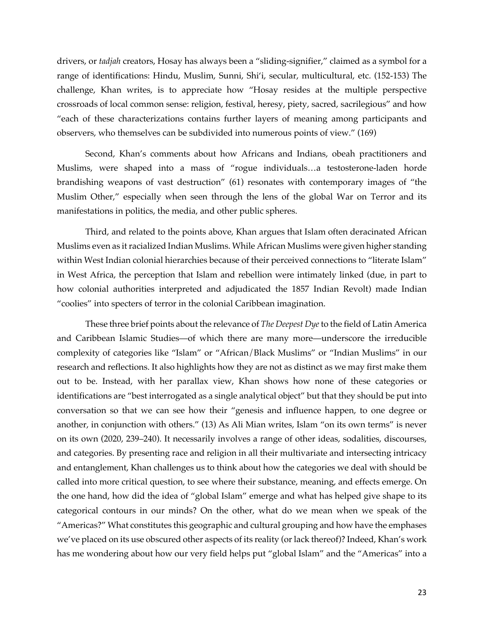drivers, or *tadjah* creators, Hosay has always been a "sliding-signifier," claimed as a symbol for a range of identifications: Hindu, Muslim, Sunni, Shi'i, secular, multicultural, etc. (152-153) The challenge, Khan writes, is to appreciate how "Hosay resides at the multiple perspective crossroads of local common sense: religion, festival, heresy, piety, sacred, sacrilegious" and how "each of these characterizations contains further layers of meaning among participants and observers, who themselves can be subdivided into numerous points of view." (169)

Second, Khan's comments about how Africans and Indians, obeah practitioners and Muslims, were shaped into a mass of "rogue individuals…a testosterone-laden horde brandishing weapons of vast destruction" (61) resonates with contemporary images of "the Muslim Other," especially when seen through the lens of the global War on Terror and its manifestations in politics, the media, and other public spheres.

Third, and related to the points above, Khan argues that Islam often deracinated African Muslims even as itracialized Indian Muslims. While African Muslims were given higher standing within West Indian colonial hierarchies because of their perceived connections to "literate Islam" in West Africa, the perception that Islam and rebellion were intimately linked (due, in part to how colonial authorities interpreted and adjudicated the 1857 Indian Revolt) made Indian "coolies" into specters of terror in the colonial Caribbean imagination.

These three brief points about the relevance of *The Deepest Dye* to the field of Latin America and Caribbean Islamic Studies—of which there are many more—underscore the irreducible complexity of categories like "Islam" or "African/Black Muslims" or "Indian Muslims" in our research and reflections. It also highlights how they are not as distinct as we may first make them out to be. Instead, with her parallax view, Khan shows how none of these categories or identifications are "best interrogated as a single analytical object" but that they should be put into conversation so that we can see how their "genesis and influence happen, to one degree or another, in conjunction with others." (13) As Ali Mian writes, Islam "on its own terms" is never on its own (2020, 239–240). It necessarily involves a range of other ideas, sodalities, discourses, and categories. By presenting race and religion in all their multivariate and intersecting intricacy and entanglement, Khan challenges us to think about how the categories we deal with should be called into more critical question, to see where their substance, meaning, and effects emerge. On the one hand, how did the idea of "global Islam" emerge and what has helped give shape to its categorical contours in our minds? On the other, what do we mean when we speak of the "Americas?" What constitutes this geographic and cultural grouping and how have the emphases we've placed on its use obscured other aspects of its reality (or lack thereof)? Indeed, Khan's work has me wondering about how our very field helps put "global Islam" and the "Americas" into a